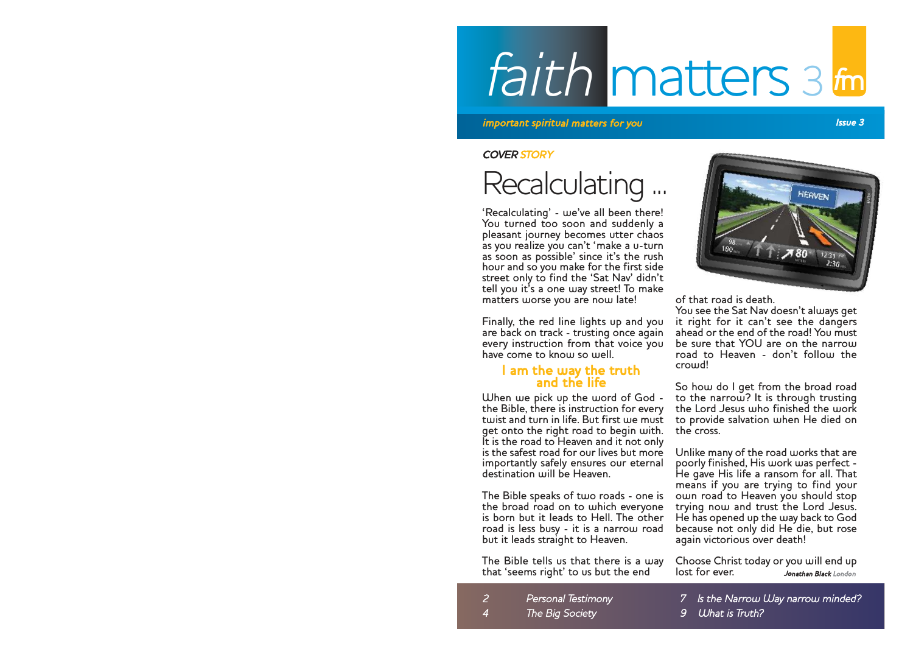## faith matters 3 <sup>f</sup>m

important spiritual matters for you **Issue 3** and the set of the set of the set of the set of the set of the set o

#### COVER STORY

## Recalculating ...

'Recalculating' - we've all been there! You turned too soon and suddenly a pleasant journey becomes utter chaos as you realize you can't 'make a u-turn as soon as possible' since it's the rush hour and so you make for the first side street only to find the 'Sat Nav' didn't tell you it's a one way street! To make matters worse you are now late!

Finally, the red line lights up and you are back on track - trusting once again every instruction from that voice you have come to know so well.

## I am the way the truth and the life

When we pick up the word of God the Bible, there is instruction for every twist and turn in life. But first we must get onto the right road to begin with. It is the road to Heaven and it not only is the safest road for our lives but more importantly safely ensures our eternal destination will be Heaven.

The Bible speaks of two roads - one is the broad road on to which everyone is born but it leads to Hell. The other road is less busy - it is a narrow road but it leads straight to Heaven.

The Bible tells us that there is a way that 'seems right' to us but the end

2 Personal Testimony 4 The Big Society

780 of that road is death.

You see the Sat Nav doesn't always get it right for it can't see the dangers ahead or the end of the road! You must be sure that YOU are on the narrow road to Heaven - don't follow the crowd!

So how do I get from the broad road to the narrow? It is through trusting the Lord Jesus who finished the work to provide salvation when He died on the cross.

Unlike many of the road works that are poorly finished, His work was perfect - He gave His life a ransom for all. That means if you are trying to find your own road to Heaven you should stop trying now and trust the Lord Jesus. He has opened up the way back to God because not only did He die, but rose again victorious over death!

Choose Christ today or you will end up lost for ever. Jonathan Black London

- 7 Is the Narrow Way narrow minded?
- What is Truth?

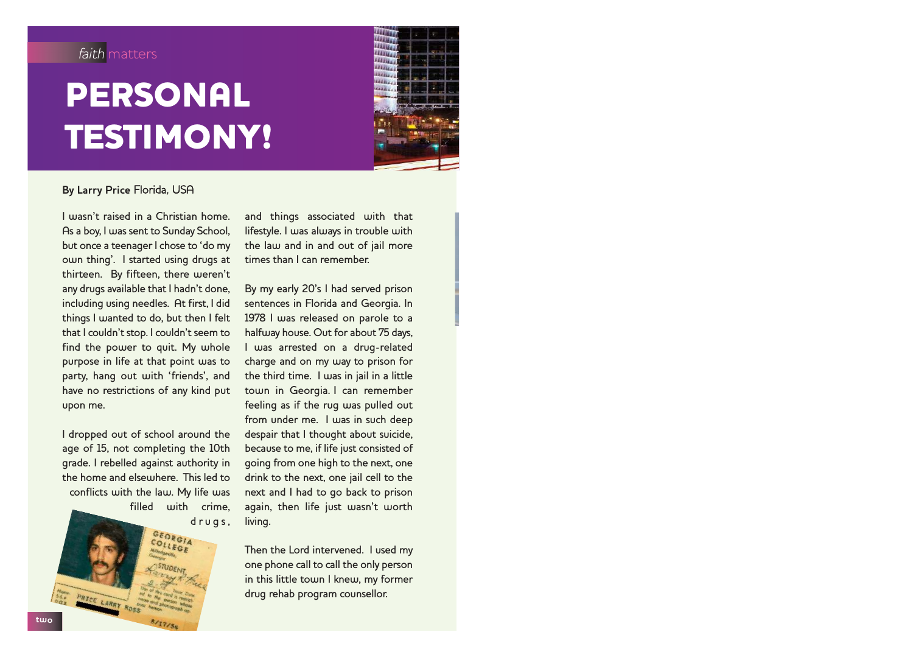

## PERSONAL TESTIMONY!



### **By Larry Price** Florida, USA

I wasn't raised in a Christian home. As a boy, I was sent to Sunday School, but once a teenager I chose to 'do my own thing'. I started using drugs at thirteen. By fifteen, there weren't any drugs available that I hadn't done, including using needles. At first, I did things I wanted to do, but then I felt that I couldn't stop. I couldn't seem to find the power to quit. My whole purpose in life at that point was to party, hang out with 'friends', and have no restrictions of any kind put upon me.

I dropped out of school around the age of 15, not completing the 10th grade. I rebelled against authority in the home and elsewhere. This led to conflicts with the law. My life was filled with crime,

 $1/17/8$ 

d r u g s,

and things associated with that lifestyle. I was always in trouble with the law and in and out of jail more times than I can remember.

By my early 20's I had served prison sentences in Florida and Georgia. In 1978 I was released on parole to a halfway house. Out for about 75 days, I was arrested on a drug-related charge and on my way to prison for the third time. I was in jail in a little town in Georgia. I can remember feeling as if the rug was pulled out from under me. I was in such deep despair that I thought about suicide, because to me, if life just consisted of going from one high to the next, one drink to the next, one jail cell to the next and I had to go back to prison again, then life just wasn't worth living.

Then the Lord intervened. I used my one phone call to call the only person in this little town I knew, my former drug rehab program counsellor.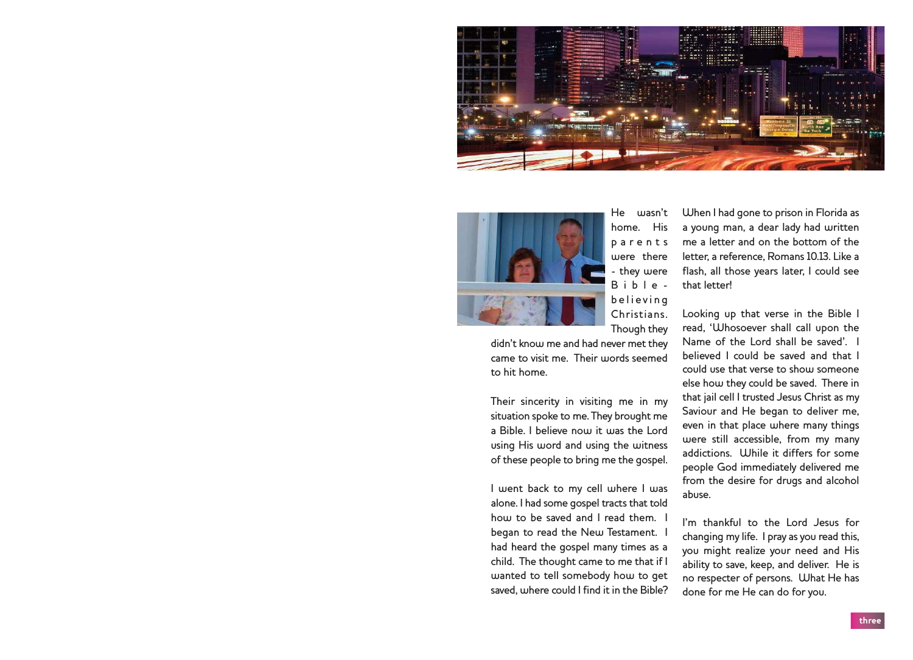



He wasn't home. His p a r e n t s were there - they were  $B$  i  $b$   $b$   $c$  b e lieving Christians. Though they

didn't know me and had never met they came to visit me. Their words seemed to hit home.

Their sincerity in visiting me in my situation spoke to me. They brought me a Bible. I believe now it was the Lord using His word and using the witness of these people to bring me the gospel.

I went back to my cell where I was alone. I had some gospel tracts that told how to be saved and I read them. I began to read the New Testament. I had heard the gospel many times as a child. The thought came to me that if I wanted to tell somebody how to get saved, where could I find it in the Bible? When I had gone to prison in Florida as a young man, a dear lady had written me a letter and on the bottom of the letter, a reference, Romans 10.13. Like a flash, all those years later, I could see that letter!

Looking up that verse in the Bible I read, 'Whosoever shall call upon the Name of the Lord shall be saved'. I believed I could be saved and that I could use that verse to show someone else how they could be saved. There in that jail cell I trusted Jesus Christ as my Saviour and He began to deliver me, even in that place where many things were still accessible, from my many addictions. While it differs for some people God immediately delivered me from the desire for drugs and alcohol abuse.

I'm thankful to the Lord Jesus for changing my life. I pray as you read this, you might realize your need and His ability to save, keep, and deliver. He is no respecter of persons. What He has done for me He can do for you.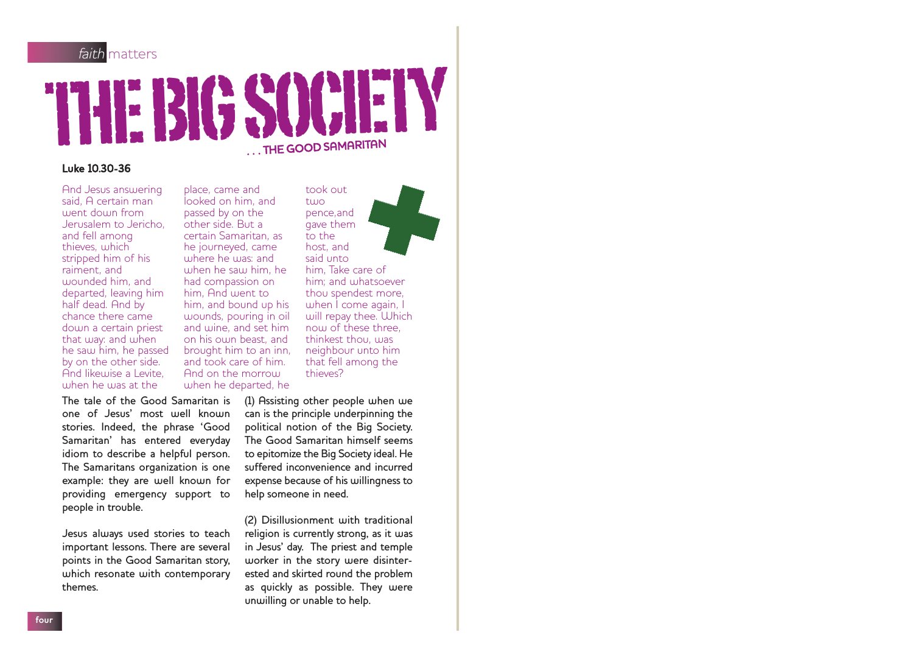

# THE BIG SOCIETY ...THE GOOD SAMARITAN

## Luke 10.30-36

And Jesus answering said, A certain man went down from Jerusalem to Jericho, and fell among thieves, which stripped him of his raiment, and wounded him, and departed, leaving him half dead. And by chance there came down a certain priest that way: and when he saw him, he passed by on the other side. And likewise a Levite, when he was at the

place, came and looked on him, and passed by on the other side. But a certain Samaritan, as he journeyed, came where he was: and when he saw him, he had compassion on him, And went to him, and bound up his wounds, pouring in oil and wine, and set him on his own beast, and brought him to an inn, and took care of him. And on the morrow when he departed, he

The tale of the Good Samaritan is one of Jesus' most well known stories. Indeed, the phrase 'Good Samaritan' has entered everyday idiom to describe a helpful person. The Samaritans organization is one example: they are well known for providing emergency support to people in trouble.

Jesus always used stories to teach important lessons. There are several points in the Good Samaritan story, which resonate with contemporary themes.

took out tulo. pence,and gave them to the host, and said unto him, Take care of him; and whatsoever thou spendest more, when I come again, I will repay thee. Which now of these three, thinkest thou, was neighbour unto him that fell among the thieves?

(1) Assisting other people when we can is the principle underpinning the political notion of the Big Society. The Good Samaritan himself seems to epitomize the Big Society ideal. He suffered inconvenience and incurred expense because of his willingness to help someone in need.

(2) Disillusionment with traditional religion is currently strong, as it was in Jesus' day. The priest and temple worker in the story were disinterested and skirted round the problem as quickly as possible. They were unwilling or unable to help.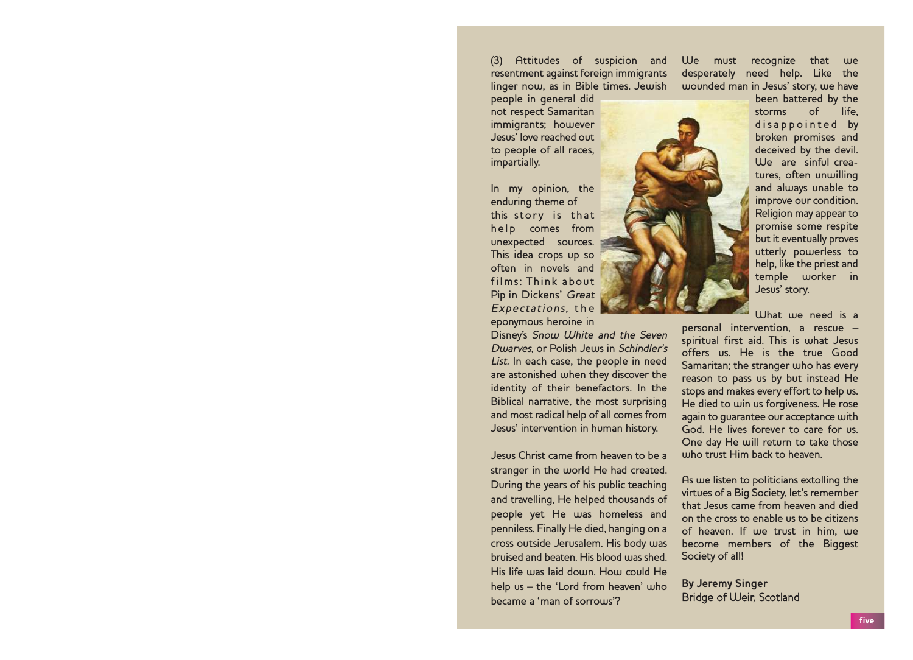(3) Attitudes of suspicion and resentment against foreign immigrants linger now, as in Bible times. Jewish We must recognize that we desperately need help. Like the wounded man in Jesus' story, we have

people in general did not respect Samaritan immigrants; however Jesus' love reached out to people of all races, impartially.

In my opinion, the enduring theme of this story is that help comes from unexpected sources. This idea crops up so often in novels and films: Think about Pip in Dickens' Great Expectations, the eponymous heroine in

Disney's Snow White and the Seven Dwarves, or Polish Jews in Schindler's List. In each case, the people in need are astonished when they discover the identity of their benefactors. In the Biblical narrative, the most surprising and most radical help of all comes from Jesus' intervention in human history.

Jesus Christ came from heaven to be a stranger in the world He had created. During the years of his public teaching and travelling, He helped thousands of people yet He was homeless and penniless. Finally He died, hanging on a cross outside Jerusalem. His body was bruised and beaten. His blood was shed. His life was laid down. How could He help us – the 'Lord from heaven' who became a 'man of sorrous'?



been battered by the storms of life, disappointed by broken promises and deceived by the devil. We are sinful creatures, often unwilling and always unable to improve our condition. Religion may appear to promise some respite but it eventually proves utterly powerless to help, like the priest and temple worker in Jesus' story.

What we need is a

personal intervention, a rescue – spiritual first aid. This is what Jesus offers us. He is the true Good Samaritan; the stranger who has every reason to pass us by but instead He stops and makes every effort to help us. He died to win us forgiveness. He rose again to guarantee our acceptance with God. He lives forever to care for us. One day He will return to take those who trust Him back to heaven.

As we listen to politicians extolling the virtues of a Big Society, let's remember that Jesus came from heaven and died on the cross to enable us to be citizens of heaven. If we trust in him, we become members of the Biggest Society of all!

**By Jeremy Singer**  Bridge of Weir, Scotland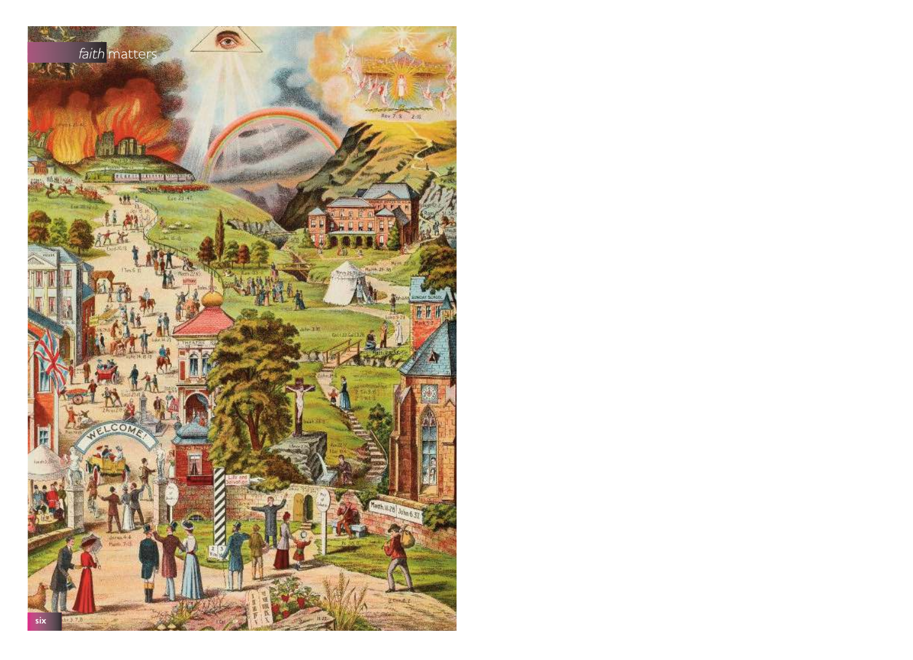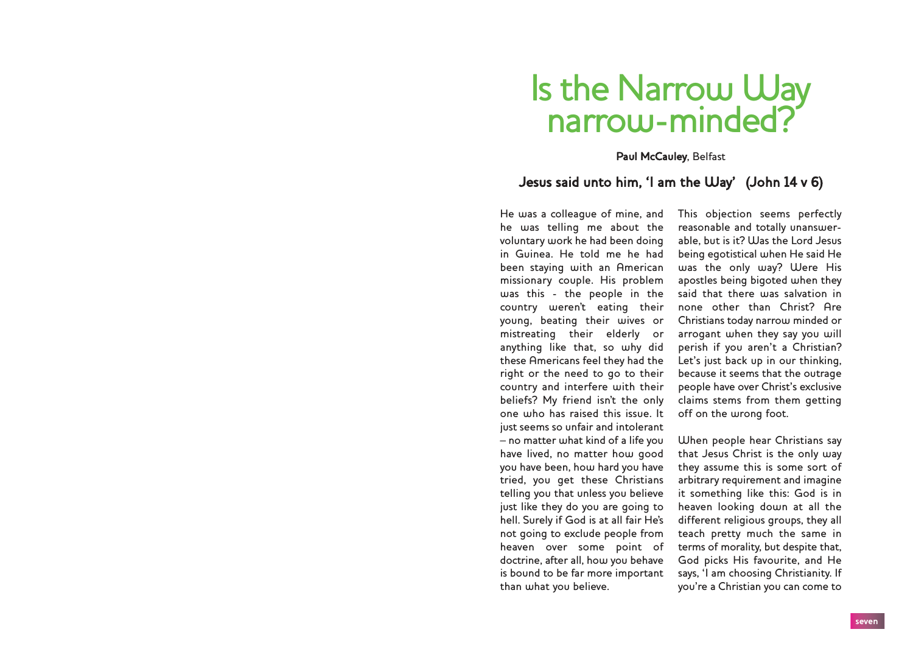## Is the Narrow Way narrow-minded?

#### Paul McCauley, Belfast

## Jesus said unto him, 'I am the  $W$ ay' (John 14 v 6)

He was a colleague of mine, and he was telling me about the voluntary work he had been doing in Guinea. He told me he had been staying with an American missionary couple. His problem was this - the people in the country weren't eating their young, beating their wives or mistreating their elderly or anything like that, so why did these Americans feel they had the right or the need to go to their country and interfere with their beliefs? My friend isn't the only one who has raised this issue. It just seems so unfair and intolerant – no matter what kind of a life you have lived, no matter how good you have been, how hard you have tried, you get these Christians telling you that unless you believe just like they do you are going to hell. Surely if God is at all fair He's not going to exclude people from heaven over some point of doctrine, after all, how you behave is bound to be far more important than what you believe.

This objection seems perfectly reasonable and totally unanswerable, but is it? Was the Lord Jesus being egotistical when He said He was the only way? Were His apostles being bigoted when they said that there was salvation in none other than Christ? Are Christians today narrow minded or arrogant when they say you will perish if you aren't a Christian? Let's just back up in our thinking, because it seems that the outrage people have over Christ's exclusive claims stems from them getting off on the wrong foot.

When people hear Christians say that Jesus Christ is the only way they assume this is some sort of arbitrary requirement and imagine it something like this: God is in heaven looking down at all the different religious groups, they all teach pretty much the same in terms of morality, but despite that, God picks His favourite, and He says, 'I am choosing Christianity. If you're a Christian you can come to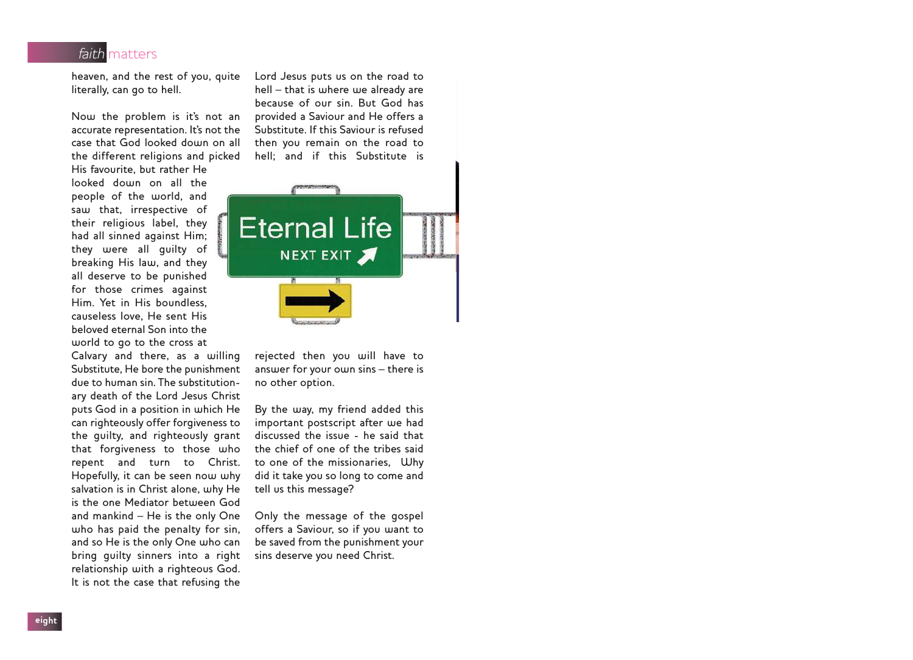

heaven, and the rest of you, quite literally, can go to hell.

Now the problem is it's not an accurate representation. It's not the case that God looked down on all the different religions and picked

His favourite, but rather He looked down on all the people of the world, and saw that, irrespective of their religious label, they had all sinned against Him; they were all guilty of breaking His law, and they all deserve to be punished for those crimes against Him. Yet in His boundless, causeless love, He sent His beloved eternal Son into the world to go to the cross at

Calvary and there, as a willing Substitute, He bore the punishment due to human sin. The substitutionary death of the Lord Jesus Christ puts God in a position in which He can righteously offer forgiveness to the guilty, and righteously grant that forgiveness to those who repent and turn to Christ. Hopefully, it can be seen now why salvation is in Christ alone, why He is the one Mediator between God and mankind – He is the only One who has paid the penalty for sin, and so He is the only One who can bring guilty sinners into a right relationship with a righteous God. It is not the case that refusing the

Lord Jesus puts us on the road to hell – that is where we already are because of our sin. But God has provided a Saviour and He offers a Substitute. If this Saviour is refused then you remain on the road to hell; and if this Substitute is



rejected then you will have to answer for your own sins – there is no other option.

By the way, my friend added this important postscript after we had discussed the issue - he said that the chief of one of the tribes said to one of the missionaries, Why did it take you so long to come and tell us this message?

Only the message of the gospel offers a Saviour, so if you want to be saved from the punishment your sins deserve you need Christ.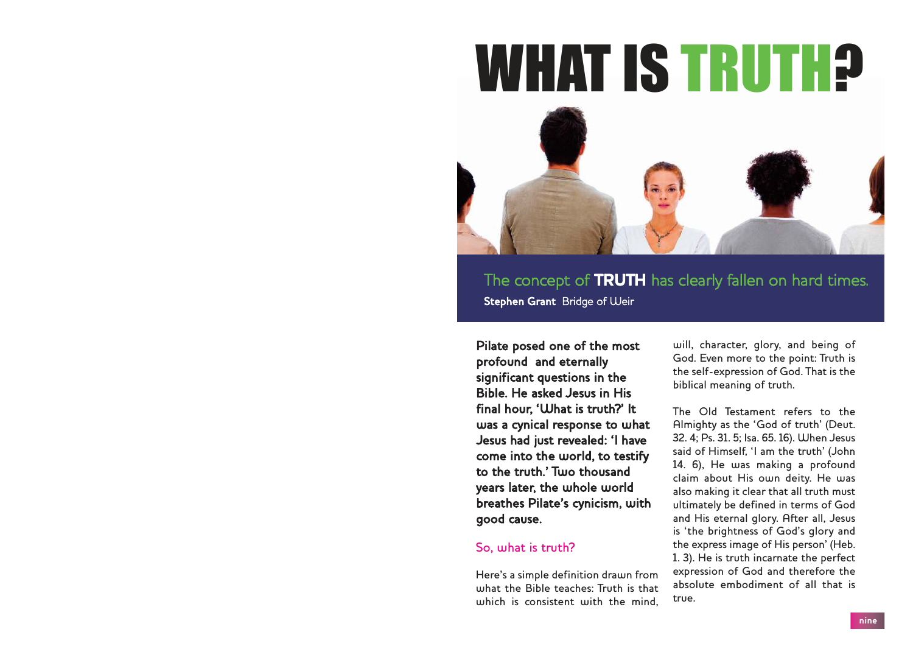# WHAT IS TRUTH?



The concept of **TRUTH** has clearly fallen on hard times. Stephen Grant Bridge of Weir

Pilate posed one of the most profound and eternally significant questions in the Bible. He asked Jesus in His final hour, 'What is truth?' It was a cynical response to what Jesus had just revealed: 'I have come into the world, to testify to the truth.' Two thousand years later, the whole world breathes Pilate's cynicism, with good cause.

## So, what is truth?

Here's a simple definition drawn from what the Bible teaches: Truth is that which is consistent with the mind, will, character, glory, and being of God. Even more to the point: Truth is the self-expression of God. That is the biblical meaning of truth.

The Old Testament refers to the Almighty as the 'God of truth' (Deut. 32. 4; Ps. 31. 5; Isa. 65. 16). When Jesus said of Himself, 'I am the truth' (John 14. 6), He was making a profound claim about His own deity. He was also making it clear that all truth must ultimately be defined in terms of God and His eternal glory. After all, Jesus is 'the brightness of God's glory and the express image of His person' (Heb. 1. 3). He is truth incarnate the perfect expression of God and therefore the absolute embodiment of all that is true.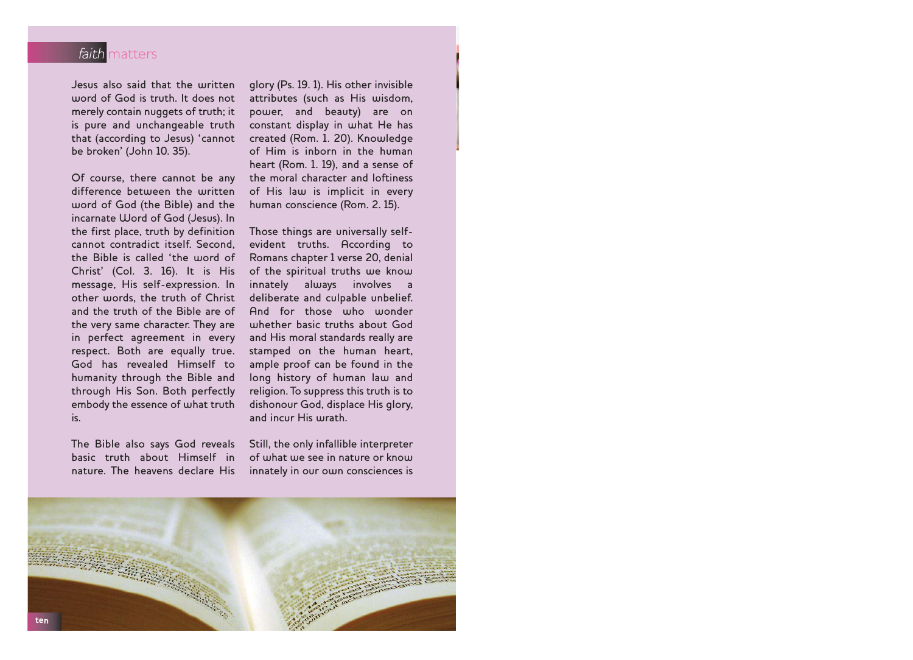

Jesus also said that the written word of God is truth. It does not merely contain nuggets of truth; it is pure and unchangeable truth that (according to Jesus) 'cannot be broken' (John 10. 35).

Of course, there cannot be any difference between the written word of God (the Bible) and the incarnate Word of God (Jesus). In the first place, truth by definition cannot contradict itself. Second, the Bible is called 'the word of Christ' (Col. 3. 16). It is His message, His self-expression. In other words, the truth of Christ and the truth of the Bible are of the very same character. They are in perfect agreement in every respect. Both are equally true. God has revealed Himself to humanity through the Bible and through His Son. Both perfectly embody the essence of what truth is.

The Bible also says God reveals basic truth about Himself in nature. The heavens declare His

glory (Ps. 19. 1). His other invisible attributes (such as His wisdom, power, and beauty) are on constant display in what He has created (Rom. 1. 20). Knowledge of Him is inborn in the human heart (Rom. 1. 19), and a sense of the moral character and loftiness of His law is implicit in every human conscience (Rom. 2. 15).

Those things are universally selfevident truths. According to Romans chapter 1 verse 20, denial of the spiritual truths we know innately always involves a deliberate and culpable unbelief. And for those who wonder whether basic truths about God and His moral standards really are stamped on the human heart, ample proof can be found in the long history of human law and religion. To suppress this truth is to dishonour God, displace His glory, and incur His wrath.

Still, the only infallible interpreter of what we see in nature or know innately in our own consciences is

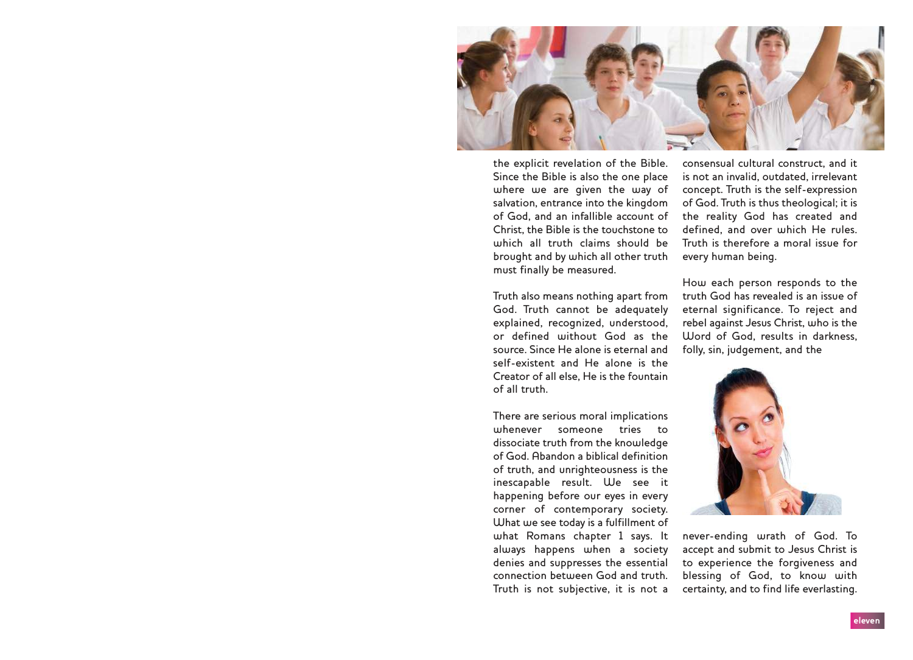

the explicit revelation of the Bible. Since the Bible is also the one place where we are given the way of salvation, entrance into the kingdom of God, and an infallible account of Christ, the Bible is the touchstone to which all truth claims should be brought and by which all other truth must finally be measured.

Truth also means nothing apart from God. Truth cannot be adequately explained, recognized, understood, or defined without God as the source. Since He alone is eternal and self-existent and He alone is the Creator of all else, He is the fountain of all truth.

There are serious moral implications whenever someone tries to dissociate truth from the knowledge of God. Abandon a biblical definition of truth, and unrighteousness is the inescapable result. We see it happening before our eyes in every corner of contemporary society. What we see today is a fulfillment of what Romans chapter 1 says. It always happens when a society denies and suppresses the essential connection between God and truth. Truth is not subjective, it is not a consensual cultural construct, and it is not an invalid, outdated, irrelevant concept. Truth is the self-expression of God. Truth is thus theological; it is the reality God has created and defined, and over which He rules. Truth is therefore a moral issue for every human being.

How each person responds to the truth God has revealed is an issue of eternal significance. To reject and rebel against Jesus Christ, who is the Word of God, results in darkness, folly, sin, judgement, and the



never-ending wrath of God. To accept and submit to Jesus Christ is to experience the forgiveness and blessing of God, to know with certainty, and to find life everlasting.